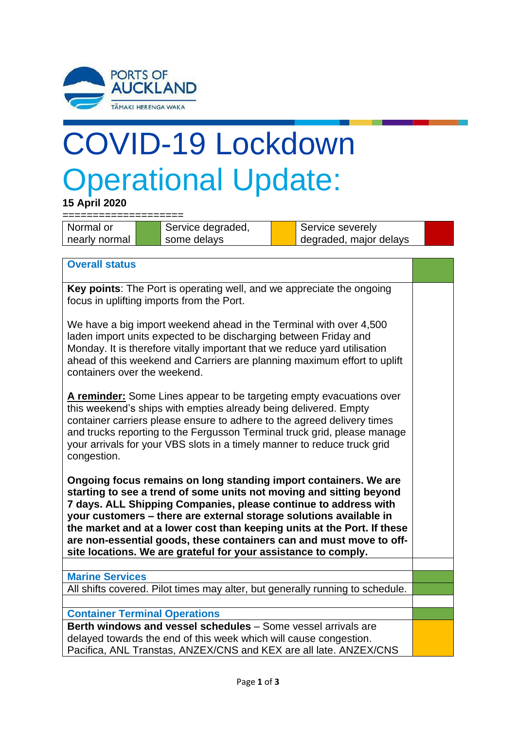

## COVID-19 Lockdown Operational Update:

**15 April 2020**

====================

Normal or nearly normal

Service degraded, some delays

Service severely degraded, major delays

**Overall status**

**Key points**: The Port is operating well, and we appreciate the ongoing focus in uplifting imports from the Port.

We have a big import weekend ahead in the Terminal with over 4,500 laden import units expected to be discharging between Friday and Monday. It is therefore vitally important that we reduce yard utilisation ahead of this weekend and Carriers are planning maximum effort to uplift containers over the weekend.

**A reminder:** Some Lines appear to be targeting empty evacuations over this weekend's ships with empties already being delivered. Empty container carriers please ensure to adhere to the agreed delivery times and trucks reporting to the Fergusson Terminal truck grid, please manage your arrivals for your VBS slots in a timely manner to reduce truck grid congestion.

**Ongoing focus remains on long standing import containers. We are starting to see a trend of some units not moving and sitting beyond 7 days. ALL Shipping Companies, please continue to address with your customers – there are external storage solutions available in the market and at a lower cost than keeping units at the Port. If these are non-essential goods, these containers can and must move to offsite locations. We are grateful for your assistance to comply.**

## **Marine Services**

All shifts covered. Pilot times may alter, but generally running to schedule.

## **Container Terminal Operations**

**Berth windows and vessel schedules** – Some vessel arrivals are delayed towards the end of this week which will cause congestion. Pacifica, ANL Transtas, ANZEX/CNS and KEX are all late. ANZEX/CNS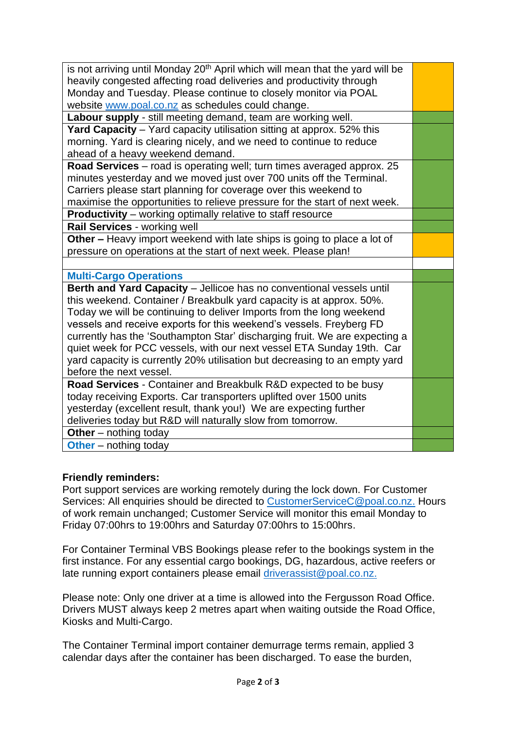| is not arriving until Monday 20 <sup>th</sup> April which will mean that the yard will be |  |
|-------------------------------------------------------------------------------------------|--|
| heavily congested affecting road deliveries and productivity through                      |  |
| Monday and Tuesday. Please continue to closely monitor via POAL                           |  |
| website www.poal.co.nz as schedules could change.                                         |  |
| Labour supply - still meeting demand, team are working well.                              |  |
| Yard Capacity - Yard capacity utilisation sitting at approx. 52% this                     |  |
| morning. Yard is clearing nicely, and we need to continue to reduce                       |  |
| ahead of a heavy weekend demand.                                                          |  |
| Road Services - road is operating well; turn times averaged approx. 25                    |  |
| minutes yesterday and we moved just over 700 units off the Terminal.                      |  |
| Carriers please start planning for coverage over this weekend to                          |  |
| maximise the opportunities to relieve pressure for the start of next week.                |  |
| <b>Productivity</b> - working optimally relative to staff resource                        |  |
| Rail Services - working well                                                              |  |
| Other – Heavy import weekend with late ships is going to place a lot of                   |  |
| pressure on operations at the start of next week. Please plan!                            |  |
|                                                                                           |  |
| <b>Multi-Cargo Operations</b>                                                             |  |
| Berth and Yard Capacity - Jellicoe has no conventional vessels until                      |  |
| this weekend. Container / Breakbulk yard capacity is at approx. 50%.                      |  |
|                                                                                           |  |
| Today we will be continuing to deliver Imports from the long weekend                      |  |
| vessels and receive exports for this weekend's vessels. Freyberg FD                       |  |
| currently has the 'Southampton Star' discharging fruit. We are expecting a                |  |
| quiet week for PCC vessels, with our next vessel ETA Sunday 19th. Car                     |  |
| yard capacity is currently 20% utilisation but decreasing to an empty yard                |  |
| before the next vessel.                                                                   |  |
| Road Services - Container and Breakbulk R&D expected to be busy                           |  |
| today receiving Exports. Car transporters uplifted over 1500 units                        |  |
| yesterday (excellent result, thank you!) We are expecting further                         |  |
| deliveries today but R&D will naturally slow from tomorrow.                               |  |
| Other $-$ nothing today<br><b>Other</b> – nothing today                                   |  |

## **Friendly reminders:**

Port support services are working remotely during the lock down. For Customer Services: All enquiries should be directed to [CustomerServiceC@poal.co.nz.](mailto:CustomerServiceC@poal.co.nz) Hours of work remain unchanged; Customer Service will monitor this email Monday to Friday 07:00hrs to 19:00hrs and Saturday 07:00hrs to 15:00hrs.

For Container Terminal VBS Bookings please refer to the bookings system in the first instance. For any essential cargo bookings, DG, hazardous, active reefers or late running export containers please email [driverassist@poal.co.nz.](mailto:driverassist@poal.co.nz)

Please note: Only one driver at a time is allowed into the Fergusson Road Office. Drivers MUST always keep 2 metres apart when waiting outside the Road Office, Kiosks and Multi-Cargo.

The Container Terminal import container demurrage terms remain, applied 3 calendar days after the container has been discharged. To ease the burden,